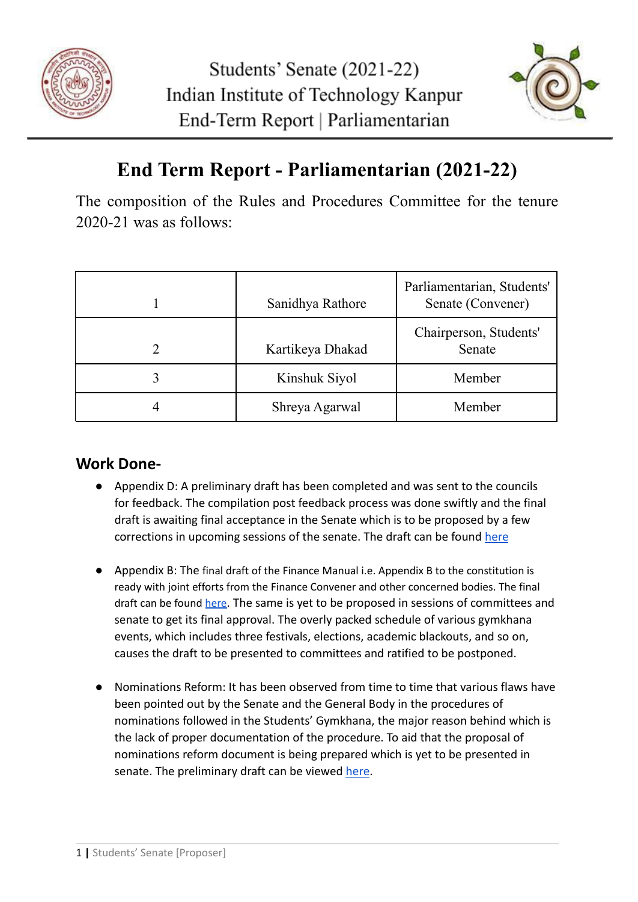



## **End Term Report - Parliamentarian (2021-22)**

The composition of the Rules and Procedures Committee for the tenure 2020-21 was as follows:

| Sanidhya Rathore | Parliamentarian, Students'<br>Senate (Convener) |
|------------------|-------------------------------------------------|
| Kartikeya Dhakad | Chairperson, Students'<br>Senate                |
| Kinshuk Siyol    | Member                                          |
| Shreya Agarwal   | Member                                          |

## **Work Done-**

- Appendix D: A preliminary draft has been completed and was sent to the councils for feedback. The compilation post feedback process was done swiftly and the final draft is awaiting final acceptance in the Senate which is to be proposed by a few corrections in upcoming sessions of the senate. The draft can be found [here](https://drive.google.com/file/d/1nFjHNLFB0ag5Q0ErGlBXYhV3_uFlrHES/view?usp=sharing)
- Appendix B: The final draft of the Finance Manual i.e. Appendix B to the constitution is ready with joint efforts from the Finance Convener and other concerned bodies. The final draft can be found [here](https://drive.google.com/file/d/1rS8HV0JkGjfuRFpUE8TkM9Xgg9KX_uBB/view?usp=sharing). The same is yet to be proposed in sessions of committees and senate to get its final approval. The overly packed schedule of various gymkhana events, which includes three festivals, elections, academic blackouts, and so on, causes the draft to be presented to committees and ratified to be postponed.
- Nominations Reform: It has been observed from time to time that various flaws have been pointed out by the Senate and the General Body in the procedures of nominations followed in the Students' Gymkhana, the major reason behind which is the lack of proper documentation of the procedure. To aid that the proposal of nominations reform document is being prepared which is yet to be presented in senate. The preliminary draft can be viewed [here](https://docs.google.com/document/d/1VXHhojaDDuyQxD2B8t17h1cVts8cnwfQWaoTyptY8Ck/edit?usp=sharing).